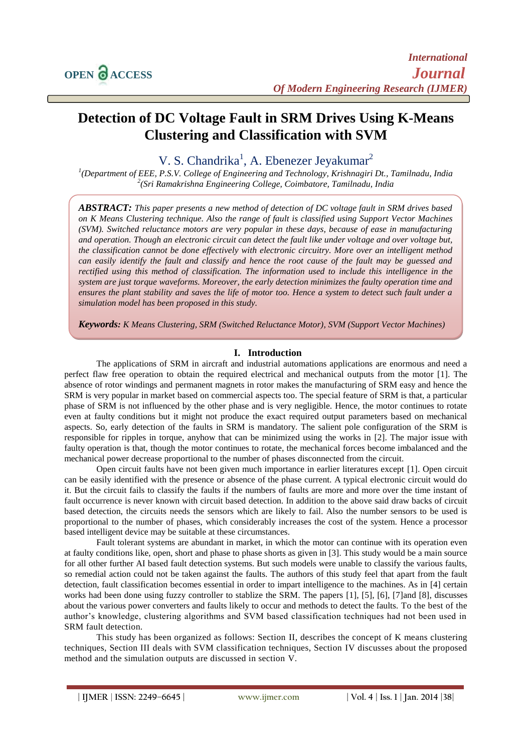# **Detection of DC Voltage Fault in SRM Drives Using K-Means Clustering and Classification with SVM**

V. S. Chandrika<sup>1</sup>, A. Ebenezer Jeyakumar<sup>2</sup>

*1 (Department of EEE, P.S.V. College of Engineering and Technology, Krishnagiri Dt., Tamilnadu, India 2 (Sri Ramakrishna Engineering College, Coimbatore, Tamilnadu, India*

*ABSTRACT: This paper presents a new method of detection of DC voltage fault in SRM drives based on K Means Clustering technique. Also the range of fault is classified using Support Vector Machines (SVM). Switched reluctance motors are very popular in these days, because of ease in manufacturing and operation. Though an electronic circuit can detect the fault like under voltage and over voltage but, the classification cannot be done effectively with electronic circuitry. More over an intelligent method can easily identify the fault and classify and hence the root cause of the fault may be guessed and rectified using this method of classification. The information used to include this intelligence in the system are just torque waveforms. Moreover, the early detection minimizes the faulty operation time and ensures the plant stability and saves the life of motor too. Hence a system to detect such fault under a simulation model has been proposed in this study.*

*Keywords: K Means Clustering, SRM (Switched Reluctance Motor), SVM (Support Vector Machines)*

#### **I. Introduction**

The applications of SRM in aircraft and industrial automations applications are enormous and need a perfect flaw free operation to obtain the required electrical and mechanical outputs from the motor [1]. The absence of rotor windings and permanent magnets in rotor makes the manufacturing of SRM easy and hence the SRM is very popular in market based on commercial aspects too. The special feature of SRM is that, a particular phase of SRM is not influenced by the other phase and is very negligible. Hence, the motor continues to rotate even at faulty conditions but it might not produce the exact required output parameters based on mechanical aspects. So, early detection of the faults in SRM is mandatory. The salient pole configuration of the SRM is responsible for ripples in torque, anyhow that can be minimized using the works in [2]. The major issue with faulty operation is that, though the motor continues to rotate, the mechanical forces become imbalanced and the mechanical power decrease proportional to the number of phases disconnected from the circuit.

Open circuit faults have not been given much importance in earlier literatures except [1]. Open circuit can be easily identified with the presence or absence of the phase current. A typical electronic circuit would do it. But the circuit fails to classify the faults if the numbers of faults are more and more over the time instant of fault occurrence is never known with circuit based detection. In addition to the above said draw backs of circuit based detection, the circuits needs the sensors which are likely to fail. Also the number sensors to be used is proportional to the number of phases, which considerably increases the cost of the system. Hence a processor based intelligent device may be suitable at these circumstances.

Fault tolerant systems are abundant in market, in which the motor can continue with its operation even at faulty conditions like, open, short and phase to phase shorts as given in [3]. This study would be a main source for all other further AI based fault detection systems. But such models were unable to classify the various faults, so remedial action could not be taken against the faults. The authors of this study feel that apart from the fault detection, fault classification becomes essential in order to impart intelligence to the machines. As in [4] certain works had been done using fuzzy controller to stablize the SRM. The papers [1], [5], [6], [7]and [8], discusses about the various power converters and faults likely to occur and methods to detect the faults. To the best of the author's knowledge, clustering algorithms and SVM based classification techniques had not been used in SRM fault detection.

This study has been organized as follows: Section II, describes the concept of K means clustering techniques, Section III deals with SVM classification techniques, Section IV discusses about the proposed method and the simulation outputs are discussed in section V.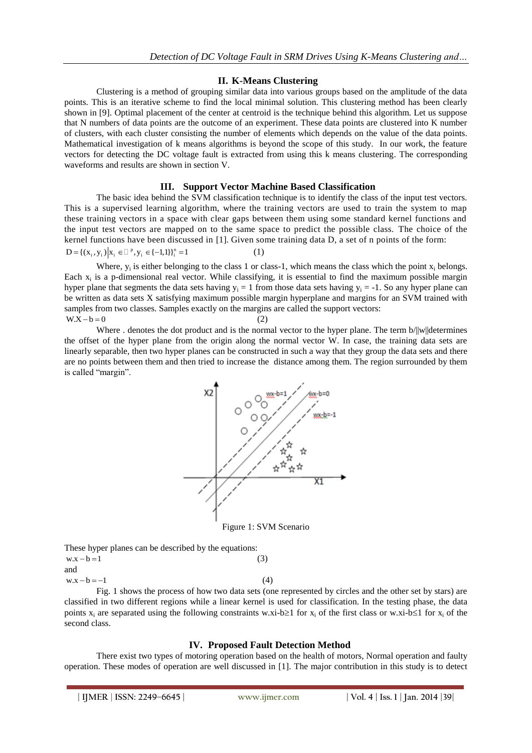#### **II. K-Means Clustering**

Clustering is a method of grouping similar data into various groups based on the amplitude of the data points. This is an iterative scheme to find the local minimal solution. This clustering method has been clearly shown in [9]. Optimal placement of the center at centroid is the technique behind this algorithm. Let us suppose that N numbers of data points are the outcome of an experiment. These data points are clustered into K number of clusters, with each cluster consisting the number of elements which depends on the value of the data points. Mathematical investigation of k means algorithms is beyond the scope of this study. In our work, the feature vectors for detecting the DC voltage fault is extracted from using this k means clustering. The corresponding waveforms and results are shown in section V.

#### **III. Support Vector Machine Based Classification**

The basic idea behind the SVM classification technique is to identify the class of the input test vectors. This is a supervised learning algorithm, where the training vectors are used to train the system to map these training vectors in a space with clear gaps between them using some standard kernel functions and the input test vectors are mapped on to the same space to predict the possible class. The choice of the kernel functions have been discussed in [1]. Given some training data D, a set of n points of the form:  $D = \{ (x_i, y_i) | x_i \in \Box^p, y_i \in \{-1,1\} \}^n = 1$ (1)

Where,  $y_i$  is either belonging to the class 1 or class-1, which means the class which the point  $x_i$  belongs. Each  $x_i$  is a p-dimensional real vector. While classifying, it is essential to find the maximum possible margin hyper plane that segments the data sets having  $y_i = 1$  from those data sets having  $y_i = -1$ . So any hyper plane can be written as data sets X satisfying maximum possible margin hyperplane and margins for an SVM trained with samples from two classes. Samples exactly on the margins are called the support vectors:  $W.X - b = 0$ (2)

Where . denotes the dot product and is the normal vector to the hyper plane. The term  $b/||w||$ determines the offset of the hyper plane from the origin along the normal vector W. In case, the training data sets are linearly separable, then two hyper planes can be constructed in such a way that they group the data sets and there are no points between them and then tried to increase the distance among them. The region surrounded by them is called "margin".



These hyper planes can be described by the equations:

 $w.x - b = 1$ 

and  $w.x - b = -1$ 

(4)

(3)

Fig. 1 shows the process of how two data sets (one represented by circles and the other set by stars) are classified in two different regions while a linear kernel is used for classification. In the testing phase, the data points x<sub>i</sub> are separated using the following constraints w.xi-b $\geq 1$  for x<sub>i</sub> of the first class or w.xi-b $\leq 1$  for x<sub>i</sub> of the second class.

#### **IV. Proposed Fault Detection Method**

There exist two types of motoring operation based on the health of motors, Normal operation and faulty operation. These modes of operation are well discussed in [1]. The major contribution in this study is to detect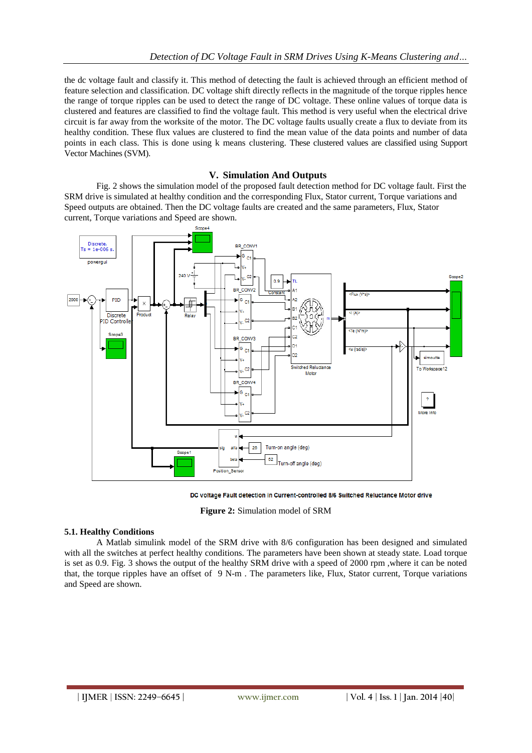the dc voltage fault and classify it. This method of detecting the fault is achieved through an efficient method of feature selection and classification. DC voltage shift directly reflects in the magnitude of the torque ripples hence the range of torque ripples can be used to detect the range of DC voltage. These online values of torque data is clustered and features are classified to find the voltage fault. This method is very useful when the electrical drive circuit is far away from the worksite of the motor. The DC voltage faults usually create a flux to deviate from its healthy condition. These flux values are clustered to find the mean value of the data points and number of data points in each class. This is done using k means clustering. These clustered values are classified using Support Vector Machines (SVM).

## **V. Simulation And Outputs**

Fig. 2 shows the simulation model of the proposed fault detection method for DC voltage fault. First the SRM drive is simulated at healthy condition and the corresponding Flux, Stator current, Torque variations and Speed outputs are obtained. Then the DC voltage faults are created and the same parameters, Flux, Stator current, Torque variations and Speed are shown.



DC voltage Fault detection in Current-controlled 8/6 Switched Reluctance Motor drive

**Figure 2:** Simulation model of SRM

#### **5.1. Healthy Conditions**

A Matlab simulink model of the SRM drive with 8/6 configuration has been designed and simulated with all the switches at perfect healthy conditions. The parameters have been shown at steady state. Load torque is set as 0.9. Fig. 3 shows the output of the healthy SRM drive with a speed of 2000 rpm ,where it can be noted that, the torque ripples have an offset of 9 N-m . The parameters like, Flux, Stator current, Torque variations and Speed are shown.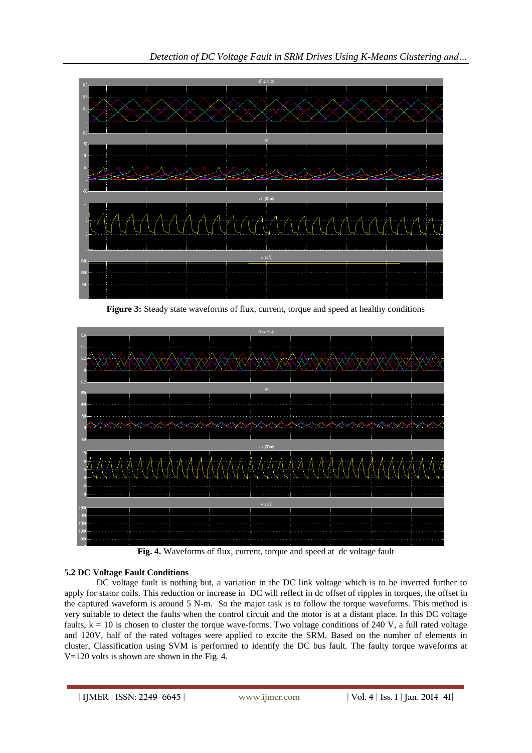

**Figure 3:** Steady state waveforms of flux, current, torque and speed at healthy conditions



**Fig. 4.** Waveforms of flux, current, torque and speed at dc voltage fault

# **5.2 DC Voltage Fault Conditions**

DC voltage fault is nothing but, a variation in the DC link voltage which is to be inverted further to apply for stator coils. This reduction or increase in DC will reflect in dc offset of ripples in torques, the offset in the captured waveform is around 5 N-m. So the major task is to follow the torque waveforms. This method is very suitable to detect the faults when the control circuit and the motor is at a distant place. In this DC voltage faults,  $k = 10$  is chosen to cluster the torque wave-forms. Two voltage conditions of 240 V, a full rated voltage and 120V, half of the rated voltages were applied to excite the SRM. Based on the number of elements in cluster, Classification using SVM is performed to identify the DC bus fault. The faulty torque waveforms at V=120 volts is shown are shown in the Fig. 4.